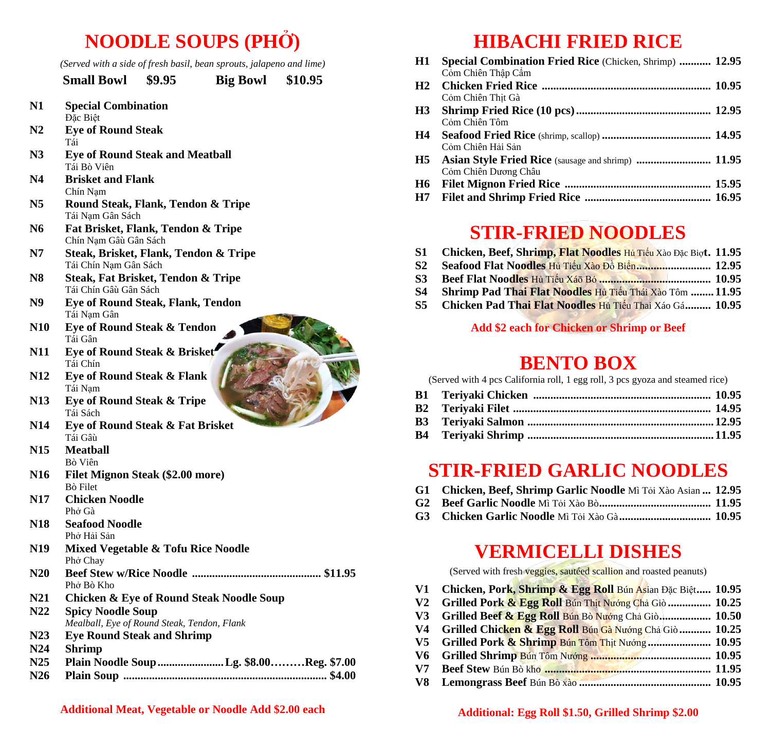# **NOODLE SOUPS (PHỞ)**

*(Served with a side of fresh basil, bean sprouts, jalapeno and lime)*

|                | <b>Small Bowl</b>                                                       | \$9.95 | <b>Big Bowl \$10.95</b>                             |  |
|----------------|-------------------------------------------------------------------------|--------|-----------------------------------------------------|--|
| N1             | <b>Special Combination</b><br>Đặc Biệt                                  |        |                                                     |  |
| N <sub>2</sub> | <b>Eye of Round Steak</b><br>Tái                                        |        |                                                     |  |
| N3             | <b>Eye of Round Steak and Meatball</b><br>Tái Bò Viên                   |        |                                                     |  |
| N4             | <b>Brisket and Flank</b><br>Chín Nam                                    |        |                                                     |  |
| N <sub>5</sub> | Round Steak, Flank, Tendon & Tripe<br>Tái Nạm Gân Sách                  |        |                                                     |  |
| N6             | Fat Brisket, Flank, Tendon & Tripe<br>Chín Nạm Gâu Gân Sách             |        |                                                     |  |
| N7             | Steak, Brisket, Flank, Tendon & Tripe<br>Tái Chín Nạm Gân Sách          |        |                                                     |  |
| N <sub>8</sub> | <b>Steak, Fat Brisket, Tendon &amp; Tripe</b><br>Tái Chín Gâù Gân Sách  |        |                                                     |  |
| N9             | <b>Eye of Round Steak, Flank, Tendon</b><br>Tái Nạm Gân                 |        |                                                     |  |
| <b>N10</b>     | <b>Eye of Round Steak &amp; Tendon</b><br>Tái Gân                       |        |                                                     |  |
| <b>N11</b>     | Eye of Round Steak & Brisket<br>Tái Chín                                |        |                                                     |  |
| <b>N12</b>     | <b>Eye of Round Steak &amp; Flank</b><br>Tái Nam                        |        |                                                     |  |
| <b>N13</b>     | <b>Eye of Round Steak &amp; Tripe</b><br>Tái Sách                       |        |                                                     |  |
| <b>N14</b>     | <b>Eye of Round Steak &amp; Fat Brisket</b><br>Tái Gâù                  |        |                                                     |  |
| <b>N15</b>     | <b>Meatball</b><br>Bò Viên                                              |        |                                                     |  |
| N16            | <b>Filet Mignon Steak (\$2.00 more)</b><br>Bò Filet                     |        |                                                     |  |
| N17            | <b>Chicken Noodle</b><br>Phở Gà                                         |        |                                                     |  |
| <b>N18</b>     | <b>Seafood Noodle</b><br>Phở Hải Sản                                    |        |                                                     |  |
| N19            | <b>Mixed Vegetable &amp; Tofu Rice Noodle</b><br>Phở Chay               |        |                                                     |  |
| N20            | Phở Bò Kho                                                              |        |                                                     |  |
| <b>N21</b>     |                                                                         |        | <b>Chicken &amp; Eye of Round Steak Noodle Soup</b> |  |
| N22            | <b>Spicy Noodle Soup</b><br>Mealball, Eye of Round Steak, Tendon, Flank |        |                                                     |  |
| N23            | <b>Eye Round Steak and Shrimp</b>                                       |        |                                                     |  |
| N24            | <b>Shrimp</b>                                                           |        |                                                     |  |
| N25            |                                                                         |        | Plain Noodle Soup Lg. \$8.00Reg. \$7.00             |  |
| N26            |                                                                         |        |                                                     |  |

## **HIBACHI FRIED RICE**

| H1        | <b>Special Combination Fried Rice (Chicken, Shrimp)  12.95</b> |  |
|-----------|----------------------------------------------------------------|--|
|           | Cỏm Chiên Thập Câm                                             |  |
| H2        |                                                                |  |
|           | Cỏm Chiên Thịt Gà                                              |  |
| H3        |                                                                |  |
|           | Cỏm Chiên Tôm                                                  |  |
| <b>H4</b> |                                                                |  |
|           | Cỏm Chiên Hải Sản                                              |  |
|           |                                                                |  |
|           | Cỏm Chiên Dương Châu                                           |  |
| <b>H6</b> |                                                                |  |
| H7        |                                                                |  |

#### **STIR-FRIED NOODLES**

| S1 | Chicken, Beef, Shrimp, Flat Noodles Hủ Tiếu Xào Đặc Biọt. 11.95 |  |  |  |  |  |
|----|-----------------------------------------------------------------|--|--|--|--|--|
|----|-----------------------------------------------------------------|--|--|--|--|--|

- **S2 Seafood Flat Noodles** Hủ Tiếu Xào Đồ Biển**.......................... 12.95**
- **S3 Beef Flat Noodles** Hủ Tiếu Xáō Bó **....................................... 10.95**
- **S4 Shrimp Pad Thai Flat Noodles** Hủ Tiếu Thái Xào Tôm **........ 11.95**
- **S5 Chicken Pad Thai Flat Noodles** Hủ Tiếu Thai Xáo Gá**......... 10.95**

#### **Add \$2 each for Chicken or Shrimp or Beef**

### **BENTO BOX**

(Served with 4 pcs California roll, 1 egg roll, 3 pcs gyoza and steamed rice)

- **B3 Teriyaki Salmon ................................................................. 12.95**
- **B4 Teriyaki Shrimp ................................................................. 11.95**

#### **STIR-FRIED GARLIC NOODLES**

|  | G1 Chicken, Beef, Shrimp Garlic Noodle Mì Tôi Xào Asian  12.95 |  |
|--|----------------------------------------------------------------|--|
|--|----------------------------------------------------------------|--|

- **G2 Beef Garlic Noodle** Mì Tỏi Xào Bò**....................................... 11.95**
- **G3 Chicken Garlic Noodle** Mì Tỏi Xào Gà**................................ 10.95**

#### **VERMICELLI DISHES**

(Served with fresh veggies, sautéed scallion and roasted peanuts)

- **V1 Chicken, Pork, Shrimp & Egg Roll** Bún Asian Đặc Biệt**..... 10.95**
- **V2 Grilled Pork & Egg Roll** Bún Thịt Nướng Chả Giò **............... 10.25**
- **V3 Grilled Beef & Egg Roll** Bún Bò Nướng Chả Giò**.................. 10.50**
- **V4 Grilled Chicken & Egg Roll** Bún Gà Nướng Chả Giò **........... 10.25**
- **V5 Grilled Pork & Shrimp** Bún Tôm Thịt Nướng **...................... 10.95**
- **V6 Grilled Shrimp** Bún Tôm Nướng **.......................................... 10.95**
- **V7 Beef Stew** Bún Bò kho **.......................................................... 11.95**
- **V8 Lemongrass Beef** Bún Bò xào **.............................................. 10.95**